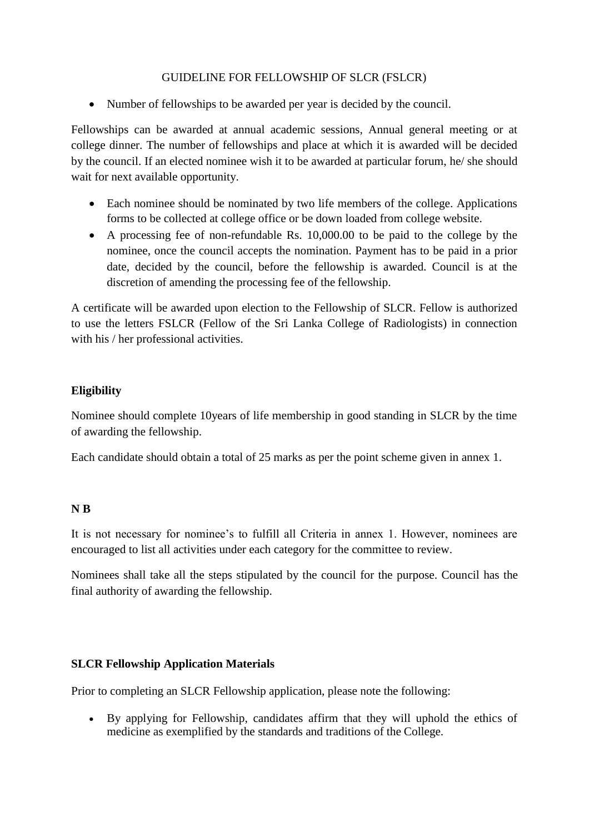### GUIDELINE FOR FELLOWSHIP OF SLCR (FSLCR)

• Number of fellowships to be awarded per year is decided by the council.

Fellowships can be awarded at annual academic sessions, Annual general meeting or at college dinner. The number of fellowships and place at which it is awarded will be decided by the council. If an elected nominee wish it to be awarded at particular forum, he/ she should wait for next available opportunity.

- Each nominee should be nominated by two life members of the college. Applications forms to be collected at college office or be down loaded from college website.
- A processing fee of non-refundable Rs. 10,000.00 to be paid to the college by the nominee, once the council accepts the nomination. Payment has to be paid in a prior date, decided by the council, before the fellowship is awarded. Council is at the discretion of amending the processing fee of the fellowship.

A certificate will be awarded upon election to the Fellowship of SLCR. Fellow is authorized to use the letters FSLCR (Fellow of the Sri Lanka College of Radiologists) in connection with his / her professional activities.

## **Eligibility**

Nominee should complete 10years of life membership in good standing in SLCR by the time of awarding the fellowship.

Each candidate should obtain a total of 25 marks as per the point scheme given in annex 1.

## **N B**

It is not necessary for nominee's to fulfill all Criteria in annex 1. However, nominees are encouraged to list all activities under each category for the committee to review.

Nominees shall take all the steps stipulated by the council for the purpose. Council has the final authority of awarding the fellowship.

## **SLCR Fellowship Application Materials**

Prior to completing an SLCR Fellowship application, please note the following:

 By applying for Fellowship, candidates affirm that they will uphold the ethics of medicine as exemplified by the standards and traditions of the College.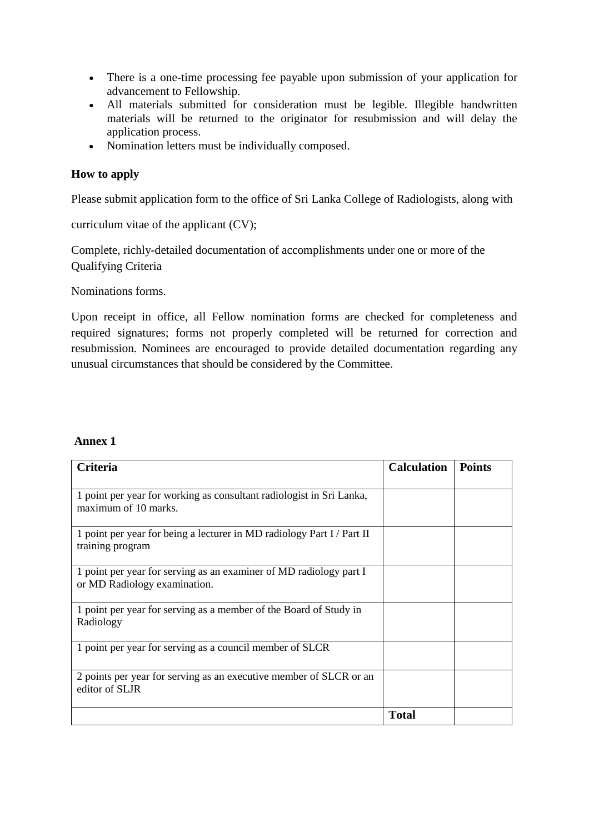- There is a one-time [processing fee p](https://www.acponline.org/membership/physician-membership/acp-fellowship/fellowship-initiation-fee)ayable upon submission of your application for advancement to Fellowship.
- All materials submitted for consideration must be legible. Illegible handwritten materials will be returned to the originator for resubmission and will delay the application process.
- Nomination letters must be individually composed.

## **How to apply**

Please submit application form to the office of Sri Lanka College of Radiologists, along with

curriculum vitae of the applicant (CV);

Complete, richly-detailed documentation of accomplishments under one or more of the Qualifying Criteria

Nominations forms.

Upon receipt in office, all Fellow nomination forms are checked for completeness and required signatures; forms not properly completed will be returned for correction and resubmission. Nominees are encouraged to provide detailed documentation regarding any unusual circumstances that should be considered by the Committee.

#### **Annex 1**

| <b>Criteria</b>                                                                                    | <b>Calculation</b> | <b>Points</b> |
|----------------------------------------------------------------------------------------------------|--------------------|---------------|
|                                                                                                    |                    |               |
| 1 point per year for working as consultant radiologist in Sri Lanka,<br>maximum of 10 marks.       |                    |               |
| 1 point per year for being a lecturer in MD radiology Part I / Part II<br>training program         |                    |               |
| 1 point per year for serving as an examiner of MD radiology part I<br>or MD Radiology examination. |                    |               |
| 1 point per year for serving as a member of the Board of Study in<br>Radiology                     |                    |               |
| 1 point per year for serving as a council member of SLCR                                           |                    |               |
| 2 points per year for serving as an executive member of SLCR or an<br>editor of SLJR               |                    |               |
|                                                                                                    | <b>Total</b>       |               |